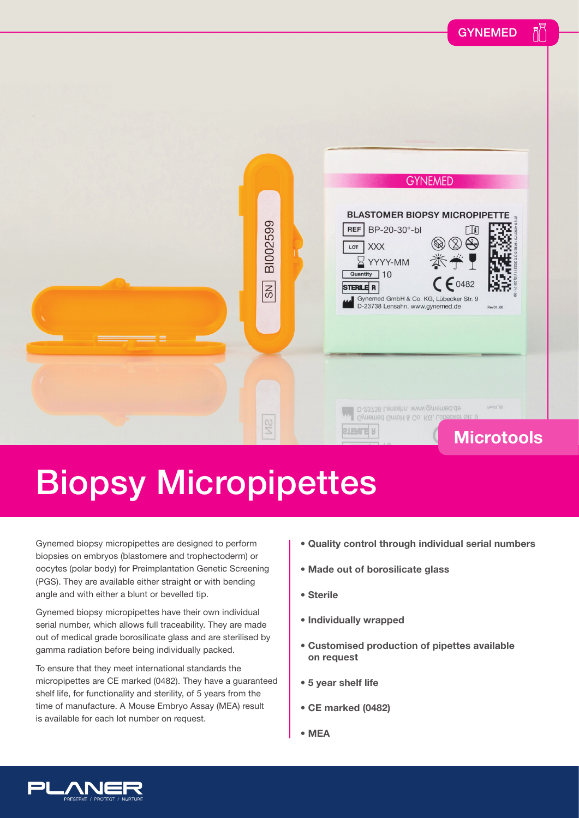

## Biopsy Micropipettes

Gynemed biopsy micropipettes are designed to perform biopsies on embryos (blastomere and trophectoderm) or oocytes (polar body) for Preimplantation Genetic Screening (PGS). They are available either straight or with bending angle and with either a blunt or bevelled tip.

Gynemed biopsy micropipettes have their own individual serial number, which allows full traceability. They are made out of medical grade borosilicate glass and are sterilised by gamma radiation before being individually packed.

To ensure that they meet international standards the micropipettes are CE marked (0482). They have a guaranteed shelf life, for functionality and sterility, of 5 years from the time of manufacture. A Mouse Embryo Assay (MEA) result is available for each lot number on request.

- **Quality control through individual serial numbers**
- **Made out of borosilicate glass**
- **Sterile**
- **Individually wrapped**
- **Customised production of pipettes available on request**
- **5 year shelf life**
- **CE marked (0482)**
- **MEA**